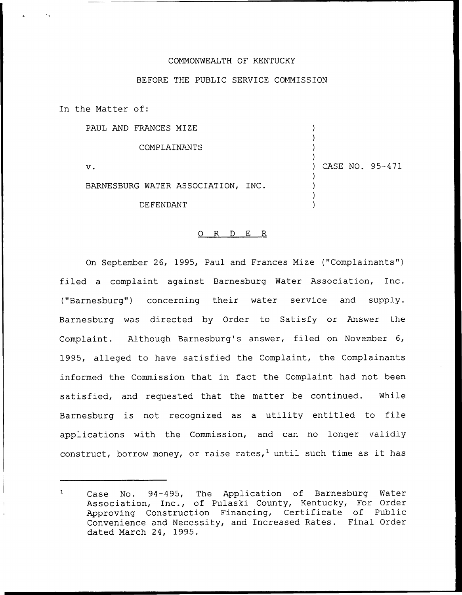## COMMONWEALTH OF KENTUCKY

## BEFORE THE PUBLIC SERVICE COMMISSION

In the Matter of:

PAUL AND FRANCES MIZE

COMPLAINANTS

V.

) ) ) CASE NO. 95-471 ) ) )

) )

)

DE FENDANT

BARNESBURG WATER ASSOCIATION, INC.

## 0 R <sup>D</sup> E R

On September 26, 1995, Paul and Frances Mize ("Complainants") filed a complaint against Barnesburg Water Association, Inc. ("Barnesburg") concerning their water service and supply. Barnesburg was directed by Order to Satisfy or Answer the Complaint. Although Barnesburg's answer, filed on November 6, 1995, alleged to have satisfied the Complaint, the Complainants informed the Commission that. in fact the Complaint. had not been satisfied, and requested that the matter be continued. While Barnesburg is not recognized as <sup>a</sup> utility entitled to file applications with the Commission, and can no longer validly construct, borrow money, or raise rates,<sup>1</sup> until such time as it has

 $\mathbf{1}$ Case No. 94-495, The Application of Barnesburg Water Association, Inc., of Pulaski County, Kentucky, For Order Approving Construction Financing, Certificate of Public Convenience and Necessity, and Increased Rates. Final Order dated March 24, 1995.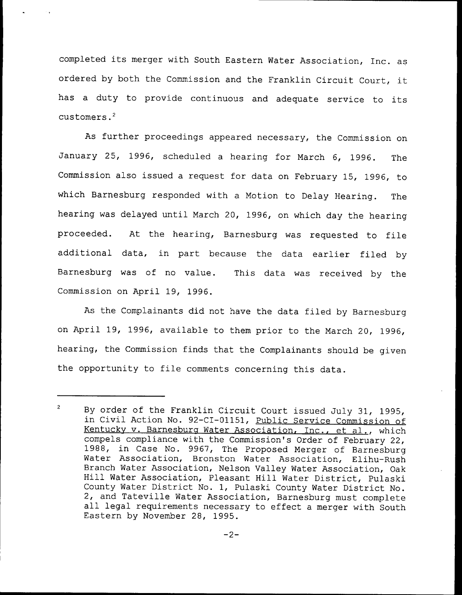completed its merger with South Eastern Water Association, Inc. as ordered by both the Commission and the Franklin Circuit Court, it has <sup>a</sup> duty to provide continuous and adequate service to its customers.<sup>2</sup>

As further proceedings appeared necessary, the Commission on January 25, 1996, scheduled a hearing for March 6, 1996. The Commission also issued a request for data on February 15, 1996, to which Barnesburg responded with a Motion to Delay Hearing. The hearing was delayed until March 20, 1996, on which day the hearing proceeded. At the hearing, Barnesburg was requested to file additional data, in part because the data earlier filed by Barnesburg was of no value. This data was received by the Commission on April 19, 1996.

As the Complainants did not have the data filed by Barnesburg on April 19, 1996, available to them prior to the March 20, 1996, hearing, the Commission finds that the Complainants should be given the opportunity to file comments concerning this data.

 $\overline{c}$ By order of the Franklin Circuit Court issued duly 31, 1995, in Civil Action No. 92-CI-01151, Public Service Commission of Kentucky v. Barnesburg Water Association, Inc., et al., which compels compliance with the Commission's Order of February 22, 1988, in Case No. 9967, The Proposed Merger of Barnesburg Water Association, Bronston Water Association, Elihu-Rush Branch Water Association, Nelson Valley Water Association, Oak Hill Water Association, Pleasant Hill Water District, Pulaski County Water District No. 1, Pulaski County Water District No.<br>2, and Tateville Water Association, Barnesburg must complete all legal requirements necessary to effect a merger with South Eastern by November 28, 1995.